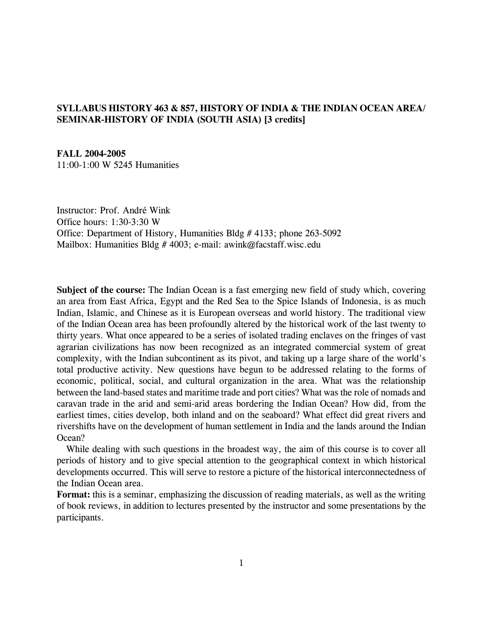# **SYLLABUS HISTORY 463 & 857, HISTORY OF INDIA & THE INDIAN OCEAN AREA/ SEMINAR-HISTORY OF INDIA (SOUTH ASIA) [3 credits]**

### **FALL 2004-2005**

11:00-1:00 W 5245 Humanities

Instructor: Prof. André Wink Office hours: 1:30-3:30 W Office: Department of History, Humanities Bldg # 4133; phone 263-5092 Mailbox: Humanities Bldg # 4003; e-mail: awink@facstaff.wisc.edu

**Subject of the course:** The Indian Ocean is a fast emerging new field of study which, covering an area from East Africa, Egypt and the Red Sea to the Spice Islands of Indonesia, is as much Indian, Islamic, and Chinese as it is European overseas and world history. The traditional view of the Indian Ocean area has been profoundly altered by the historical work of the last twenty to thirty years. What once appeared to be a series of isolated trading enclaves on the fringes of vast agrarian civilizations has now been recognized as an integrated commercial system of great complexity, with the Indian subcontinent as its pivot, and taking up a large share of the world's total productive activity. New questions have begun to be addressed relating to the forms of economic, political, social, and cultural organization in the area. What was the relationship between the land-based states and maritime trade and port cities? What was the role of nomads and caravan trade in the arid and semi-arid areas bordering the Indian Ocean? How did, from the earliest times, cities develop, both inland and on the seaboard? What effect did great rivers and rivershifts have on the development of human settlement in India and the lands around the Indian Ocean?

 While dealing with such questions in the broadest way, the aim of this course is to cover all periods of history and to give special attention to the geographical context in which historical developments occurred. This will serve to restore a picture of the historical interconnectedness of the Indian Ocean area.

**Format:** this is a seminar, emphasizing the discussion of reading materials, as well as the writing of book reviews, in addition to lectures presented by the instructor and some presentations by the participants.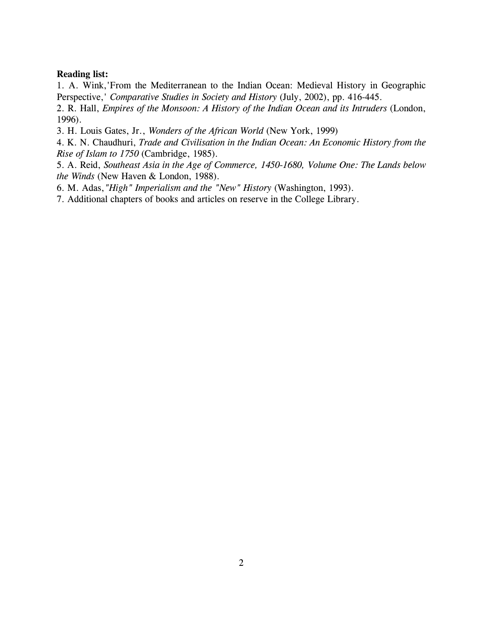## **Reading list:**

1. A. Wink,'From the Mediterranean to the Indian Ocean: Medieval History in Geographic Perspective,' *Comparative Studies in Society and History* (July, 2002), pp. 416-445.

2. R. Hall, *Empires of the Monsoon: A History of the Indian Ocean and its Intruders* (London, 1996).

- 3. H. Louis Gates, Jr., *Wonders of the African World* (New York, 1999)
- 4. K. N. Chaudhuri, *Trade and Civilisation in the Indian Ocean: An Economic History from the Rise of Islam to 1750* (Cambridge, 1985).

5. A. Reid, *Southeast Asia in the Age of Commerce, 1450-1680, Volume One: The Lands below the Winds* (New Haven & London, 1988).

- 6. M. Adas,*"High" Imperialism and the "New" History* (Washington, 1993).
- 7. Additional chapters of books and articles on reserve in the College Library.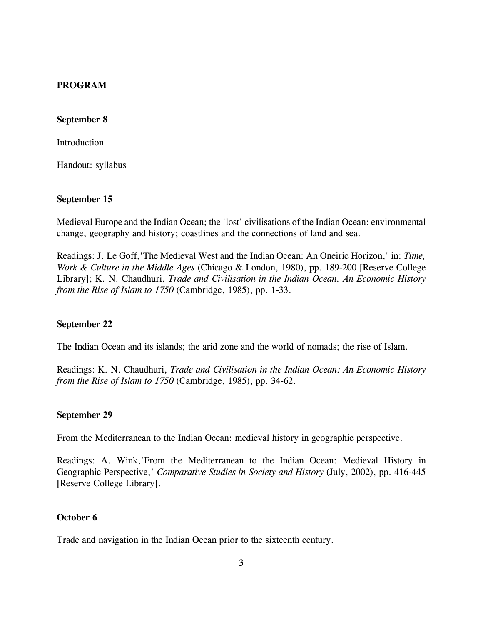## **PROGRAM**

## **September 8**

Introduction

Handout: syllabus

## **September 15**

Medieval Europe and the Indian Ocean; the 'lost' civilisations of the Indian Ocean: environmental change, geography and history; coastlines and the connections of land and sea.

Readings: J. Le Goff,'The Medieval West and the Indian Ocean: An Oneiric Horizon,' in: *Time, Work & Culture in the Middle Ages* (Chicago & London, 1980), pp. 189-200 [Reserve College Library]; K. N. Chaudhuri, *Trade and Civilisation in the Indian Ocean: An Economic History from the Rise of Islam to 1750* (Cambridge, 1985), pp. 1-33.

### **September 22**

The Indian Ocean and its islands; the arid zone and the world of nomads; the rise of Islam.

Readings: K. N. Chaudhuri, *Trade and Civilisation in the Indian Ocean: An Economic History from the Rise of Islam to 1750* (Cambridge, 1985), pp. 34-62.

### **September 29**

From the Mediterranean to the Indian Ocean: medieval history in geographic perspective.

Readings: A. Wink,'From the Mediterranean to the Indian Ocean: Medieval History in Geographic Perspective,' *Comparative Studies in Society and History* (July, 2002), pp. 416-445 [Reserve College Library].

## **October 6**

Trade and navigation in the Indian Ocean prior to the sixteenth century.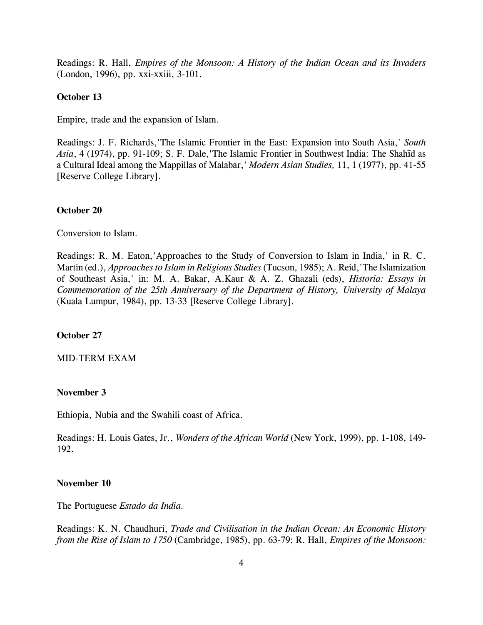Readings: R. Hall, *Empires of the Monsoon: A History of the Indian Ocean and its Invaders* (London, 1996), pp. xxi-xxiii, 3-101.

## **October 13**

Empire, trade and the expansion of Islam.

Readings: J. F. Richards,'The Islamic Frontier in the East: Expansion into South Asia,' *South Asia*, 4 (1974), pp. 91-109; S. F. Dale, The Islamic Frontier in Southwest India: The Shahīd as a Cultural Ideal among the Mappillas of Malabar,' *Modern Asian Studies,* 11, 1 (1977), pp. 41-55 [Reserve College Library].

#### **October 20**

Conversion to Islam.

Readings: R. M. Eaton,'Approaches to the Study of Conversion to Islam in India,' in R. C. Martin (ed.), *Approaches to Islam in Religious Studies* (Tucson, 1985); A. Reid,'The Islamization of Southeast Asia,' in: M. A. Bakar, A.Kaur & A. Z. Ghazali (eds), *Historia: Essays in Commemoration of the 25th Anniversary of the Department of History, University of Malaya* (Kuala Lumpur, 1984), pp. 13-33 [Reserve College Library].

#### **October 27**

#### MID-TERM EXAM

### **November 3**

Ethiopia, Nubia and the Swahili coast of Africa.

Readings: H. Louis Gates, Jr., *Wonders of the African World* (New York, 1999), pp. 1-108, 149- 192.

### **November 10**

The Portuguese *Estado da India.*

Readings: K. N. Chaudhuri, *Trade and Civilisation in the Indian Ocean: An Economic History from the Rise of Islam to 1750* (Cambridge, 1985), pp. 63-79; R. Hall, *Empires of the Monsoon:*